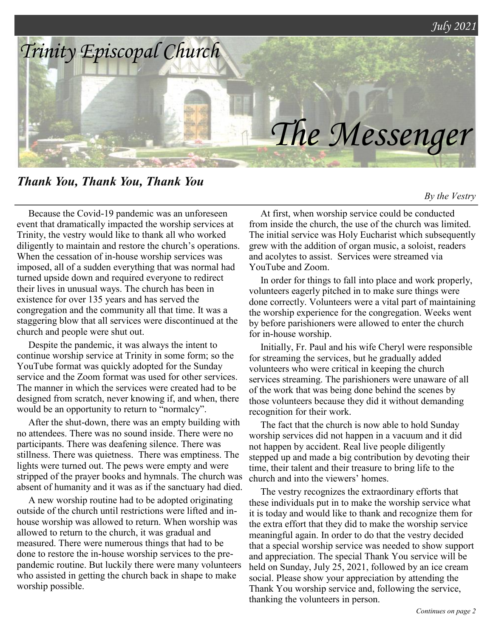

*Thank You, Thank You, Thank You*

*By the Vestry*

Because the Covid-19 pandemic was an unforeseen event that dramatically impacted the worship services at Trinity, the vestry would like to thank all who worked diligently to maintain and restore the church's operations. When the cessation of in-house worship services was imposed, all of a sudden everything that was normal had turned upside down and required everyone to redirect their lives in unusual ways. The church has been in existence for over 135 years and has served the congregation and the community all that time. It was a staggering blow that all services were discontinued at the church and people were shut out.

Despite the pandemic, it was always the intent to continue worship service at Trinity in some form; so the YouTube format was quickly adopted for the Sunday service and the Zoom format was used for other services. The manner in which the services were created had to be designed from scratch, never knowing if, and when, there would be an opportunity to return to "normalcy".

After the shut-down, there was an empty building with no attendees. There was no sound inside. There were no participants. There was deafening silence. There was stillness. There was quietness. There was emptiness. The lights were turned out. The pews were empty and were stripped of the prayer books and hymnals. The church was absent of humanity and it was as if the sanctuary had died.

A new worship routine had to be adopted originating outside of the church until restrictions were lifted and inhouse worship was allowed to return. When worship was allowed to return to the church, it was gradual and measured. There were numerous things that had to be done to restore the in-house worship services to the prepandemic routine. But luckily there were many volunteers who assisted in getting the church back in shape to make worship possible.

At first, when worship service could be conducted from inside the church, the use of the church was limited. The initial service was Holy Eucharist which subsequently grew with the addition of organ music, a soloist, readers and acolytes to assist. Services were streamed via YouTube and Zoom.

In order for things to fall into place and work properly, volunteers eagerly pitched in to make sure things were done correctly. Volunteers were a vital part of maintaining the worship experience for the congregation. Weeks went by before parishioners were allowed to enter the church for in-house worship.

Initially, Fr. Paul and his wife Cheryl were responsible for streaming the services, but he gradually added volunteers who were critical in keeping the church services streaming. The parishioners were unaware of all of the work that was being done behind the scenes by those volunteers because they did it without demanding recognition for their work.

The fact that the church is now able to hold Sunday worship services did not happen in a vacuum and it did not happen by accident. Real live people diligently stepped up and made a big contribution by devoting their time, their talent and their treasure to bring life to the church and into the viewers' homes.

The vestry recognizes the extraordinary efforts that these individuals put in to make the worship service what it is today and would like to thank and recognize them for the extra effort that they did to make the worship service meaningful again. In order to do that the vestry decided that a special worship service was needed to show support and appreciation. The special Thank You service will be held on Sunday, July 25, 2021, followed by an ice cream social. Please show your appreciation by attending the Thank You worship service and, following the service, thanking the volunteers in person.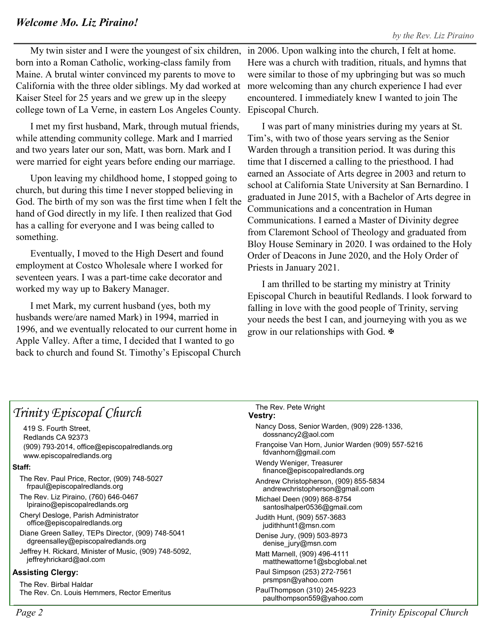My twin sister and I were the youngest of six children, born into a Roman Catholic, working-class family from Maine. A brutal winter convinced my parents to move to California with the three older siblings. My dad worked at Kaiser Steel for 25 years and we grew up in the sleepy college town of La Verne, in eastern Los Angeles County.

I met my first husband, Mark, through mutual friends, while attending community college. Mark and I married and two years later our son, Matt, was born. Mark and I were married for eight years before ending our marriage.

Upon leaving my childhood home, I stopped going to church, but during this time I never stopped believing in God. The birth of my son was the first time when I felt the hand of God directly in my life. I then realized that God has a calling for everyone and I was being called to something.

Eventually, I moved to the High Desert and found employment at Costco Wholesale where I worked for seventeen years. I was a part-time cake decorator and worked my way up to Bakery Manager.

I met Mark, my current husband (yes, both my husbands were/are named Mark) in 1994, married in 1996, and we eventually relocated to our current home in Apple Valley. After a time, I decided that I wanted to go back to church and found St. Timothy's Episcopal Church

in 2006. Upon walking into the church, I felt at home. Here was a church with tradition, rituals, and hymns that were similar to those of my upbringing but was so much more welcoming than any church experience I had ever encountered. I immediately knew I wanted to join The Episcopal Church.

I was part of many ministries during my years at St. Tim's, with two of those years serving as the Senior Warden through a transition period. It was during this time that I discerned a calling to the priesthood. I had earned an Associate of Arts degree in 2003 and return to school at California State University at San Bernardino. I graduated in June 2015, with a Bachelor of Arts degree in Communications and a concentration in Human Communications. I earned a Master of Divinity degree from Claremont School of Theology and graduated from Bloy House Seminary in 2020. I was ordained to the Holy Order of Deacons in June 2020, and the Holy Order of Priests in January 2021.

I am thrilled to be starting my ministry at Trinity Episcopal Church in beautiful Redlands. I look forward to falling in love with the good people of Trinity, serving your needs the best I can, and journeying with you as we grow in our relationships with God.

| Trinity Episcopal Church                                                                | The Rev. Pete Wright<br><b>Vestry:</b>                                  |  |
|-----------------------------------------------------------------------------------------|-------------------------------------------------------------------------|--|
| 419 S. Fourth Street,<br>Redlands CA 92373                                              | Nancy Doss, Senior Warden, (909) 228-1336,<br>dossnancy2@aol.com        |  |
| (909) 793-2014, office@episcopalredlands.org<br>www.episcopalredlands.org               | Françoise Van Horn, Junior Warden (909) 557-5216<br>fdvanhorn@gmail.com |  |
| Staff:                                                                                  | Wendy Weniger, Treasurer<br>finance@episcopalredlands.org               |  |
| The Rev. Paul Price, Rector, (909) 748-5027<br>frpaul@episcopalredlands.org             | Andrew Christopherson, (909) 855-5834<br>andrewchristopherson@gmail.com |  |
| The Rev. Liz Piraino, (760) 646-0467<br>lpiraino@episcopalredlands.org                  | Michael Deen (909) 868-8754<br>santoslhalper0536@gmail.com              |  |
| Cheryl Desloge, Parish Administrator<br>office@episcopalredlands.org                    | Judith Hunt, (909) 557-3683<br>judithhunt1@msn.com                      |  |
| Diane Green Salley, TEPs Director, (909) 748-5041<br>dgreensalley@episcopalredlands.org | Denise Jury, (909) 503-8973<br>denise_jury@msn.com                      |  |
| Jeffrey H. Rickard, Minister of Music, (909) 748-5092,<br>jeffreyhrickard@aol.com       | Matt Marnell, (909) 496-4111<br>matthewattorne1@sbcglobal.net           |  |
| <b>Assisting Clergy:</b>                                                                | Paul Simpson (253) 272-7561<br>prsmpsn@yahoo.com                        |  |
| The Rev. Birbal Haldar<br>The Rev. Cn. Louis Hemmers, Rector Emeritus                   | PaulThompson (310) 245-9223<br>paulthompson559@yahoo.com                |  |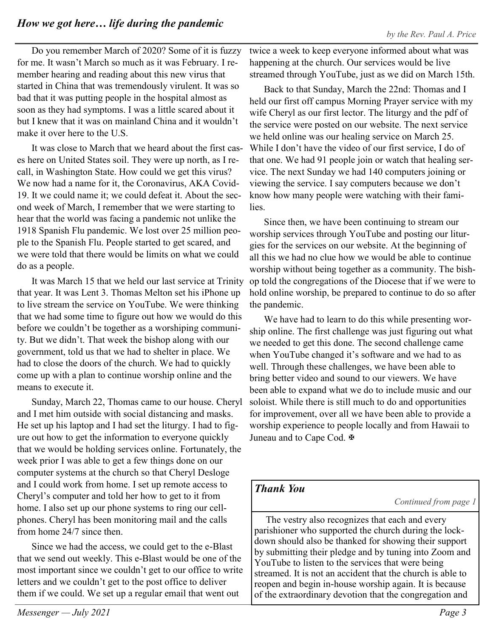Do you remember March of 2020? Some of it is fuzzy for me. It wasn't March so much as it was February. I remember hearing and reading about this new virus that started in China that was tremendously virulent. It was so bad that it was putting people in the hospital almost as soon as they had symptoms. I was a little scared about it but I knew that it was on mainland China and it wouldn't make it over here to the U.S.

It was close to March that we heard about the first cases here on United States soil. They were up north, as I recall, in Washington State. How could we get this virus? We now had a name for it, the Coronavirus, AKA Covid-19. It we could name it; we could defeat it. About the second week of March, I remember that we were starting to hear that the world was facing a pandemic not unlike the 1918 Spanish Flu pandemic. We lost over 25 million people to the Spanish Flu. People started to get scared, and we were told that there would be limits on what we could do as a people.

It was March 15 that we held our last service at Trinity that year. It was Lent 3. Thomas Melton set his iPhone up to live stream the service on YouTube. We were thinking that we had some time to figure out how we would do this before we couldn't be together as a worshiping community. But we didn't. That week the bishop along with our government, told us that we had to shelter in place. We had to close the doors of the church. We had to quickly come up with a plan to continue worship online and the means to execute it.

Sunday, March 22, Thomas came to our house. Cheryl and I met him outside with social distancing and masks. He set up his laptop and I had set the liturgy. I had to figure out how to get the information to everyone quickly that we would be holding services online. Fortunately, the week prior I was able to get a few things done on our computer systems at the church so that Cheryl Desloge and I could work from home. I set up remote access to Cheryl's computer and told her how to get to it from home. I also set up our phone systems to ring our cellphones. Cheryl has been monitoring mail and the calls from home 24/7 since then.

Since we had the access, we could get to the e-Blast that we send out weekly. This e-Blast would be one of the most important since we couldn't get to our office to write letters and we couldn't get to the post office to deliver them if we could. We set up a regular email that went out

twice a week to keep everyone informed about what was happening at the church. Our services would be live streamed through YouTube, just as we did on March 15th.

Back to that Sunday, March the 22nd: Thomas and I held our first off campus Morning Prayer service with my wife Cheryl as our first lector. The liturgy and the pdf of the service were posted on our website. The next service we held online was our healing service on March 25. While I don't have the video of our first service, I do of that one. We had 91 people join or watch that healing service. The next Sunday we had 140 computers joining or viewing the service. I say computers because we don't know how many people were watching with their families.

Since then, we have been continuing to stream our worship services through YouTube and posting our liturgies for the services on our website. At the beginning of all this we had no clue how we would be able to continue worship without being together as a community. The bishop told the congregations of the Diocese that if we were to hold online worship, be prepared to continue to do so after the pandemic.

We have had to learn to do this while presenting worship online. The first challenge was just figuring out what we needed to get this done. The second challenge came when YouTube changed it's software and we had to as well. Through these challenges, we have been able to bring better video and sound to our viewers. We have been able to expand what we do to include music and our soloist. While there is still much to do and opportunities for improvement, over all we have been able to provide a worship experience to people locally and from Hawaii to Juneau and to Cape Cod. **₩** 

## *Thank You*

*Continued from page 1*

The vestry also recognizes that each and every parishioner who supported the church during the lockdown should also be thanked for showing their support by submitting their pledge and by tuning into Zoom and YouTube to listen to the services that were being streamed. It is not an accident that the church is able to reopen and begin in-house worship again. It is because of the extraordinary devotion that the congregation and